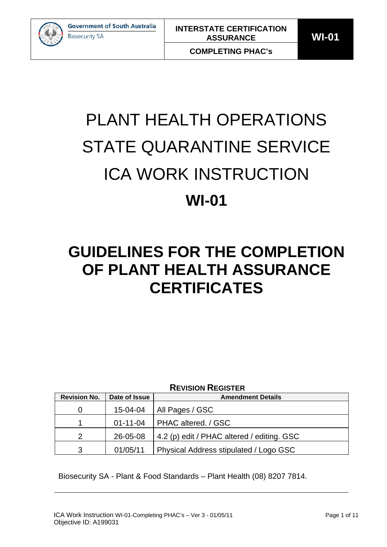# PLANT HEALTH OPERATIONS STATE QUARANTINE SERVICE ICA WORK INSTRUCTION **WI-01**

# **GUIDELINES FOR THE COMPLETION OF PLANT HEALTH ASSURANCE CERTIFICATES**

|                     |                | <b>REVISION REGISTER</b>                   |
|---------------------|----------------|--------------------------------------------|
| <b>Revision No.</b> | Date of Issue  | <b>Amendment Details</b>                   |
| 0                   | 15-04-04       | All Pages / GSC                            |
| 1                   | $01 - 11 - 04$ | PHAC altered. / GSC                        |
| $\overline{2}$      | 26-05-08       | 4.2 (p) edit / PHAC altered / editing. GSC |
| 3                   | 01/05/11       | Physical Address stipulated / Logo GSC     |

Biosecurity SA - Plant & Food Standards – Plant Health (08) 8207 7814.

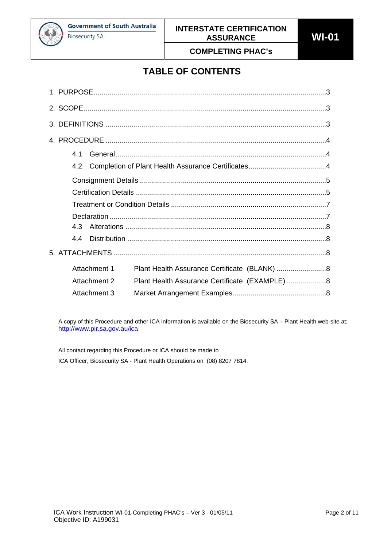# **TABLE OF CONTENTS**

| 4.1                                                            |  |
|----------------------------------------------------------------|--|
| 4.2                                                            |  |
|                                                                |  |
|                                                                |  |
|                                                                |  |
|                                                                |  |
|                                                                |  |
|                                                                |  |
|                                                                |  |
| Attachment 1                                                   |  |
| Plant Health Assurance Certificate (EXAMPLE) 8<br>Attachment 2 |  |
| Attachment 3                                                   |  |

A copy of this Procedure and other ICA information is available on the Biosecurity SA – Plant Health web-site at; http://www.pir.sa.gov.au/ica

All contact regarding this Procedure or ICA should be made to ICA Officer, Biosecurity SA - Plant Health Operations on (08) 8207 7814.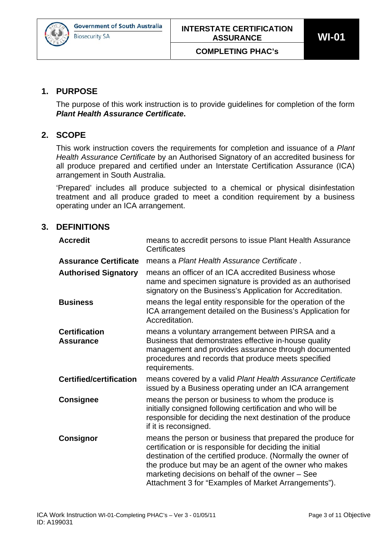# **1. PURPOSE**

The purpose of this work instruction is to provide guidelines for completion of the form *Plant Health Assurance Certificate***.**

# **2. SCOPE**

This work instruction covers the requirements for completion and issuance of a *Plant Health Assurance Certificate* by an Authorised Signatory of an accredited business for all produce prepared and certified under an Interstate Certification Assurance (ICA) arrangement in South Australia.

'Prepared' includes all produce subjected to a chemical or physical disinfestation treatment and all produce graded to meet a condition requirement by a business operating under an ICA arrangement.

# **3. DEFINITIONS**

| <b>Accredit</b>                          | means to accredit persons to issue Plant Health Assurance<br>Certificates                                                                                                                                                                                                                                                                                    |
|------------------------------------------|--------------------------------------------------------------------------------------------------------------------------------------------------------------------------------------------------------------------------------------------------------------------------------------------------------------------------------------------------------------|
| <b>Assurance Certificate</b>             | means a Plant Health Assurance Certificate.                                                                                                                                                                                                                                                                                                                  |
| <b>Authorised Signatory</b>              | means an officer of an ICA accredited Business whose<br>name and specimen signature is provided as an authorised<br>signatory on the Business's Application for Accreditation.                                                                                                                                                                               |
| <b>Business</b>                          | means the legal entity responsible for the operation of the<br>ICA arrangement detailed on the Business's Application for<br>Accreditation.                                                                                                                                                                                                                  |
| <b>Certification</b><br><b>Assurance</b> | means a voluntary arrangement between PIRSA and a<br>Business that demonstrates effective in-house quality<br>management and provides assurance through documented<br>procedures and records that produce meets specified<br>requirements.                                                                                                                   |
| <b>Certified/certification</b>           | means covered by a valid Plant Health Assurance Certificate<br>issued by a Business operating under an ICA arrangement                                                                                                                                                                                                                                       |
| <b>Consignee</b>                         | means the person or business to whom the produce is<br>initially consigned following certification and who will be<br>responsible for deciding the next destination of the produce<br>if it is reconsigned.                                                                                                                                                  |
| <b>Consignor</b>                         | means the person or business that prepared the produce for<br>certification or is responsible for deciding the initial<br>destination of the certified produce. (Normally the owner of<br>the produce but may be an agent of the owner who makes<br>marketing decisions on behalf of the owner - See<br>Attachment 3 for "Examples of Market Arrangements"). |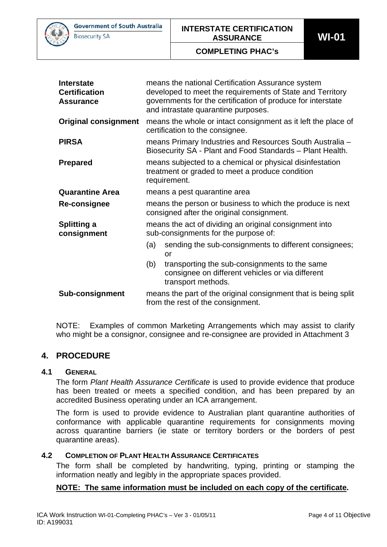

# **INTERSTATE CERTIFICATION ASSURANCE WI-01**

**COMPLETING PHAC's**

| <b>Interstate</b><br><b>Certification</b><br><b>Assurance</b> | means the national Certification Assurance system<br>developed to meet the requirements of State and Territory<br>governments for the certification of produce for interstate<br>and intrastate quarantine purposes. |
|---------------------------------------------------------------|----------------------------------------------------------------------------------------------------------------------------------------------------------------------------------------------------------------------|
| <b>Original consignment</b>                                   | means the whole or intact consignment as it left the place of<br>certification to the consignee.                                                                                                                     |
| <b>PIRSA</b>                                                  | means Primary Industries and Resources South Australia -<br>Biosecurity SA - Plant and Food Standards - Plant Health.                                                                                                |
| <b>Prepared</b>                                               | means subjected to a chemical or physical disinfestation<br>treatment or graded to meet a produce condition<br>requirement.                                                                                          |
| <b>Quarantine Area</b>                                        | means a pest quarantine area                                                                                                                                                                                         |
| <b>Re-consignee</b>                                           | means the person or business to which the produce is next<br>consigned after the original consignment.                                                                                                               |
| <b>Splitting a</b><br>consignment                             | means the act of dividing an original consignment into<br>sub-consignments for the purpose of:                                                                                                                       |
|                                                               | sending the sub-consignments to different consignees;<br>(a)<br>or                                                                                                                                                   |
|                                                               | transporting the sub-consignments to the same<br>(b)<br>consignee on different vehicles or via different<br>transport methods.                                                                                       |
| <b>Sub-consignment</b>                                        | means the part of the original consignment that is being split<br>from the rest of the consignment.                                                                                                                  |
|                                                               |                                                                                                                                                                                                                      |

NOTE: Examples of common Marketing Arrangements which may assist to clarify who might be a consignor, consignee and re-consignee are provided in Attachment 3

# **4. PROCEDURE**

# **4.1 GENERAL**

The form *Plant Health Assurance Certificate* is used to provide evidence that produce has been treated or meets a specified condition, and has been prepared by an accredited Business operating under an ICA arrangement.

The form is used to provide evidence to Australian plant quarantine authorities of conformance with applicable quarantine requirements for consignments moving across quarantine barriers (ie state or territory borders or the borders of pest quarantine areas).

# **4.2 COMPLETION OF PLANT HEALTH ASSURANCE CERTIFICATES**

The form shall be completed by handwriting, typing, printing or stamping the information neatly and legibly in the appropriate spaces provided.

# **NOTE: The same information must be included on each copy of the certificate.**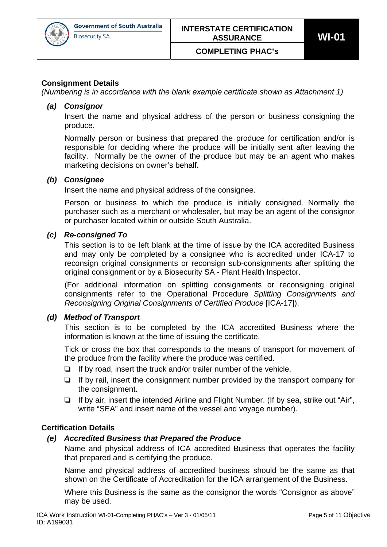# **Consignment Details**

*(Numbering is in accordance with the blank example certificate shown as Attachment 1)*

#### *(a) Consignor*

 Insert the name and physical address of the person or business consigning the produce.

 Normally person or business that prepared the produce for certification and/or is responsible for deciding where the produce will be initially sent after leaving the facility. Normally be the owner of the produce but may be an agent who makes marketing decisions on owner's behalf.

#### *(b) Consignee*

Insert the name and physical address of the consignee.

 Person or business to which the produce is initially consigned. Normally the purchaser such as a merchant or wholesaler, but may be an agent of the consignor or purchaser located within or outside South Australia.

#### *(c) Re-consigned To*

 This section is to be left blank at the time of issue by the ICA accredited Business and may only be completed by a consignee who is accredited under ICA-17 to reconsign original consignments or reconsign sub-consignments after splitting the original consignment or by a Biosecurity SA - Plant Health Inspector.

 (For additional information on splitting consignments or reconsigning original consignments refer to the Operational Procedure *Splitting Consignments and Reconsigning Original Consignments of Certified Produce* [ICA-17]).

#### *(d) Method of Transport*

 This section is to be completed by the ICA accredited Business where the information is known at the time of issuing the certificate.

 Tick or cross the box that corresponds to the means of transport for movement of the produce from the facility where the produce was certified.

- $\Box$  If by road, insert the truck and/or trailer number of the vehicle.
- $\Box$  If by rail, insert the consignment number provided by the transport company for the consignment.
- $\Box$  If by air, insert the intended Airline and Flight Number. (If by sea, strike out "Air", write "SEA" and insert name of the vessel and voyage number).

# **Certification Details**

# *(e) Accredited Business that Prepared the Produce*

 Name and physical address of ICA accredited Business that operates the facility that prepared and is certifying the produce.

 Name and physical address of accredited business should be the same as that shown on the Certificate of Accreditation for the ICA arrangement of the Business.

 Where this Business is the same as the consignor the words "Consignor as above" may be used.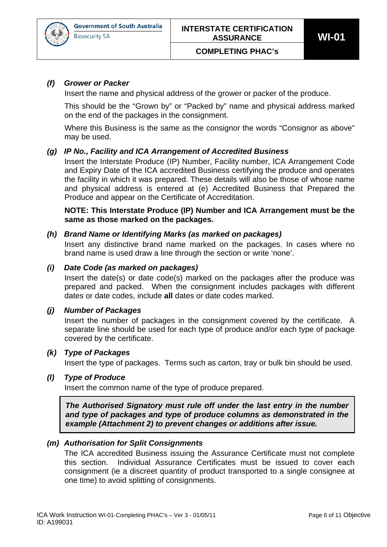# *(f) Grower or Packer*

Insert the name and physical address of the grower or packer of the produce.

 This should be the "Grown by" or "Packed by" name and physical address marked on the end of the packages in the consignment.

 Where this Business is the same as the consignor the words "Consignor as above" may be used.

# *(g) IP No., Facility and ICA Arrangement of Accredited Business*

 Insert the Interstate Produce (IP) Number, Facility number, ICA Arrangement Code and Expiry Date of the ICA accredited Business certifying the produce and operates the facility in which it was prepared. These details will also be those of whose name and physical address is entered at (e) Accredited Business that Prepared the Produce and appear on the Certificate of Accreditation.

 **NOTE: This Interstate Produce (IP) Number and ICA Arrangement must be the same as those marked on the packages.** 

# *(h) Brand Name or Identifying Marks (as marked on packages)*

 Insert any distinctive brand name marked on the packages. In cases where no brand name is used draw a line through the section or write 'none'.

# *(i) Date Code (as marked on packages)*

 Insert the date(s) or date code(s) marked on the packages after the produce was prepared and packed. When the consignment includes packages with different dates or date codes, include **all** dates or date codes marked.

# *(j) Number of Packages*

 Insert the number of packages in the consignment covered by the certificate. A separate line should be used for each type of produce and/or each type of package covered by the certificate.

# *(k) Type of Packages*

Insert the type of packages. Terms such as carton, tray or bulk bin should be used.

# *(l) Type of Produce*

Insert the common name of the type of produce prepared.

*The Authorised Signatory must rule off under the last entry in the number and type of packages and type of produce columns as demonstrated in the example (Attachment 2) to prevent changes or additions after issue.* 

# *(m) Authorisation for Split Consignments*

 The ICA accredited Business issuing the Assurance Certificate must not complete this section. Individual Assurance Certificates must be issued to cover each consignment (ie a discreet quantity of product transported to a single consignee at one time) to avoid splitting of consignments.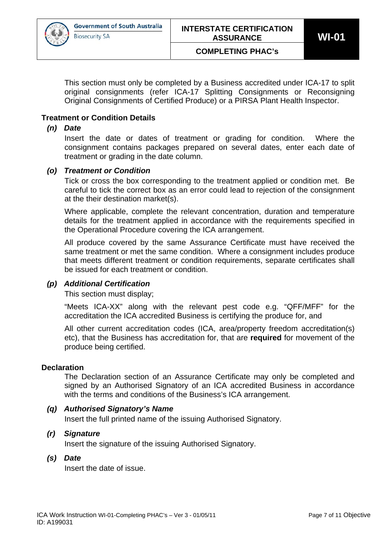

 This section must only be completed by a Business accredited under ICA-17 to split original consignments (refer ICA-17 Splitting Consignments or Reconsigning Original Consignments of Certified Produce) or a PIRSA Plant Health Inspector.

# **Treatment or Condition Details**

# *(n) Date*

 Insert the date or dates of treatment or grading for condition. Where the consignment contains packages prepared on several dates, enter each date of treatment or grading in the date column.

# *(o) Treatment or Condition*

 Tick or cross the box corresponding to the treatment applied or condition met. Be careful to tick the correct box as an error could lead to rejection of the consignment at the their destination market(s).

 Where applicable, complete the relevant concentration, duration and temperature details for the treatment applied in accordance with the requirements specified in the Operational Procedure covering the ICA arrangement.

 All produce covered by the same Assurance Certificate must have received the same treatment or met the same condition. Where a consignment includes produce that meets different treatment or condition requirements, separate certificates shall be issued for each treatment or condition.

# *(p) Additional Certification*

This section must display;

 "Meets ICA-XX" along with the relevant pest code e.g. "QFF/MFF" for the accreditation the ICA accredited Business is certifying the produce for, and

 All other current accreditation codes (ICA, area/property freedom accreditation(s) etc), that the Business has accreditation for, that are **required** for movement of the produce being certified.

# **Declaration**

 The Declaration section of an Assurance Certificate may only be completed and signed by an Authorised Signatory of an ICA accredited Business in accordance with the terms and conditions of the Business's ICA arrangement.

# *(q) Authorised Signatory's Name*

Insert the full printed name of the issuing Authorised Signatory.

# *(r) Signature*

Insert the signature of the issuing Authorised Signatory.

# *(s) Date*

Insert the date of issue.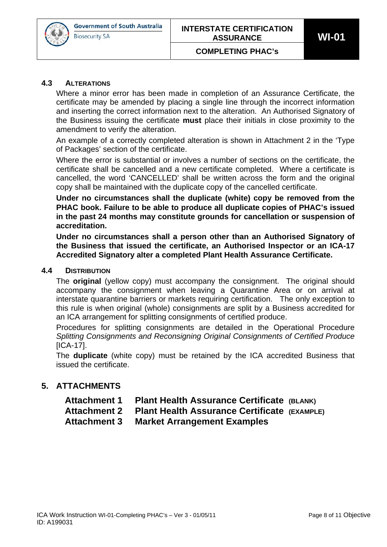#### **4.3 ALTERATIONS**

Where a minor error has been made in completion of an Assurance Certificate, the certificate may be amended by placing a single line through the incorrect information and inserting the correct information next to the alteration. An Authorised Signatory of the Business issuing the certificate **must** place their initials in close proximity to the amendment to verify the alteration.

An example of a correctly completed alteration is shown in Attachment 2 in the 'Type of Packages' section of the certificate.

Where the error is substantial or involves a number of sections on the certificate, the certificate shall be cancelled and a new certificate completed. Where a certificate is cancelled, the word 'CANCELLED' shall be written across the form and the original copy shall be maintained with the duplicate copy of the cancelled certificate.

**Under no circumstances shall the duplicate (white) copy be removed from the PHAC book. Failure to be able to produce all duplicate copies of PHAC's issued in the past 24 months may constitute grounds for cancellation or suspension of accreditation.** 

**Under no circumstances shall a person other than an Authorised Signatory of the Business that issued the certificate, an Authorised Inspector or an ICA-17 Accredited Signatory alter a completed Plant Health Assurance Certificate.** 

#### **4.4 DISTRIBUTION**

The **original** (yellow copy) must accompany the consignment. The original should accompany the consignment when leaving a Quarantine Area or on arrival at interstate quarantine barriers or markets requiring certification. The only exception to this rule is when original (whole) consignments are split by a Business accredited for an ICA arrangement for splitting consignments of certified produce.

Procedures for splitting consignments are detailed in the Operational Procedure *Splitting Consignments and Reconsigning Original Consignments of Certified Produce* [ICA-17].

The **duplicate** (white copy) must be retained by the ICA accredited Business that issued the certificate.

# **5. ATTACHMENTS**

**Attachment 1 Plant Health Assurance Certificate (BLANK)**

**Attachment 2 Plant Health Assurance Certificate (EXAMPLE)**

**Attachment 3 Market Arrangement Examples**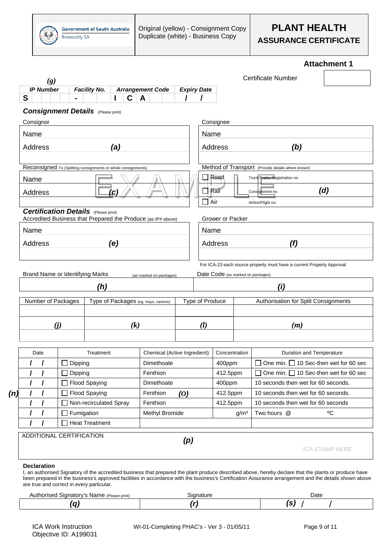

#### **Attachment 1**

|                                                               |                                                            | <b>IP Number</b> |                                                              | <b>Facility No.</b>    |            |          | <b>Arrangement Code</b>               |                                                         | <b>Expiry Date</b>                |                                     |                                                   |                                                                       |                       |  |
|---------------------------------------------------------------|------------------------------------------------------------|------------------|--------------------------------------------------------------|------------------------|------------|----------|---------------------------------------|---------------------------------------------------------|-----------------------------------|-------------------------------------|---------------------------------------------------|-----------------------------------------------------------------------|-----------------------|--|
| S                                                             |                                                            |                  |                                                              |                        |            | C<br>A   |                                       |                                                         |                                   |                                     |                                                   |                                                                       |                       |  |
|                                                               |                                                            |                  | <b>Consignment Details</b> (Please print)                    |                        |            |          |                                       |                                                         |                                   |                                     |                                                   |                                                                       |                       |  |
|                                                               |                                                            | Consignor        |                                                              |                        |            |          |                                       |                                                         |                                   | Consignee                           |                                                   |                                                                       |                       |  |
| Name                                                          |                                                            |                  |                                                              |                        |            |          |                                       |                                                         | Name                              |                                     |                                                   |                                                                       |                       |  |
| <b>Address</b><br>(a)                                         |                                                            |                  |                                                              |                        |            |          |                                       |                                                         |                                   |                                     | (b)                                               |                                                                       |                       |  |
|                                                               |                                                            |                  |                                                              |                        |            |          |                                       |                                                         | Address                           |                                     |                                                   |                                                                       |                       |  |
| Reconsigned To (Splitting consignments or whole consignments) |                                                            |                  |                                                              |                        |            |          |                                       |                                                         |                                   |                                     | Method of Transport (Provide details where known) |                                                                       |                       |  |
|                                                               | Name                                                       |                  |                                                              |                        |            |          |                                       |                                                         |                                   | Read                                |                                                   | Truck/Trailer Registration no.                                        |                       |  |
|                                                               |                                                            |                  |                                                              |                        |            |          |                                       |                                                         |                                   | Rail                                |                                                   |                                                                       | (d)                   |  |
|                                                               |                                                            | Address          |                                                              |                        | (C)        |          |                                       |                                                         |                                   |                                     |                                                   | Consignment no.                                                       |                       |  |
|                                                               |                                                            |                  | <b>Certification Details</b> (Please print)                  |                        |            |          |                                       |                                                         |                                   | Air                                 |                                                   | Airline/Flight no.                                                    |                       |  |
|                                                               |                                                            |                  | Accredited Business that Prepared the Produce (as IP# above) |                        |            |          |                                       |                                                         |                                   | Grower or Packer                    |                                                   |                                                                       |                       |  |
|                                                               | Name                                                       |                  |                                                              |                        |            |          |                                       |                                                         | Name                              |                                     |                                                   |                                                                       |                       |  |
|                                                               |                                                            |                  |                                                              |                        |            |          |                                       |                                                         |                                   | Address                             |                                                   | (f)                                                                   |                       |  |
|                                                               |                                                            | Address          |                                                              |                        | (e)        |          |                                       |                                                         |                                   |                                     |                                                   |                                                                       |                       |  |
|                                                               |                                                            |                  |                                                              |                        |            |          |                                       |                                                         |                                   |                                     |                                                   | For ICA-23 each source property must have a current Property Approval |                       |  |
|                                                               |                                                            |                  |                                                              |                        |            |          |                                       |                                                         |                                   |                                     |                                                   |                                                                       |                       |  |
|                                                               | Brand Name or Identifying Marks<br>(as marked on packages) |                  |                                                              |                        |            |          |                                       |                                                         | Date Code (as marked on packages) |                                     |                                                   |                                                                       |                       |  |
|                                                               |                                                            |                  |                                                              | (h)                    |            |          |                                       |                                                         | (i)                               |                                     |                                                   |                                                                       |                       |  |
|                                                               |                                                            |                  | Number of Packages                                           |                        |            |          | Type of Packages (eg. trays, cartons) | Type of Produce<br>Authorisation for Split Consignments |                                   |                                     |                                                   |                                                                       |                       |  |
|                                                               |                                                            |                  |                                                              |                        |            |          |                                       |                                                         |                                   |                                     |                                                   |                                                                       |                       |  |
|                                                               |                                                            |                  | (i)                                                          |                        |            | (k)      |                                       |                                                         | (l)                               |                                     |                                                   | (m)                                                                   |                       |  |
|                                                               |                                                            |                  |                                                              |                        |            |          |                                       |                                                         |                                   |                                     |                                                   |                                                                       |                       |  |
|                                                               |                                                            |                  |                                                              |                        |            |          |                                       |                                                         |                                   |                                     |                                                   |                                                                       |                       |  |
|                                                               |                                                            | Date             |                                                              | Treatment              |            |          | Chemical (Active Ingredient)          |                                                         |                                   | Concentration                       |                                                   | <b>Duration and Temperature</b>                                       |                       |  |
|                                                               |                                                            | I                | Dipping                                                      |                        |            |          | Dimethoate                            |                                                         | 400ppm                            |                                     |                                                   | One min. $\Box$ 10 Sec-then wet for 60 sec                            |                       |  |
|                                                               |                                                            |                  | Dipping                                                      |                        |            | Fenthion |                                       |                                                         | 412.5ppm                          |                                     | One min. $\Box$ 10 Sec-then wet for 60 sec        |                                                                       |                       |  |
|                                                               | <b>Flood Spaying</b>                                       |                  |                                                              |                        | Dimethoate |          |                                       | 400ppm                                                  |                                   | 10 seconds then wet for 60 seconds. |                                                   |                                                                       |                       |  |
|                                                               | $\prime$                                                   |                  |                                                              | <b>Flood Spaying</b>   |            |          | Fenthion                              | $\left( 0\right)$                                       |                                   | 412.5ppm                            |                                                   | 10 seconds then wet for 60 seconds.                                   |                       |  |
|                                                               |                                                            |                  |                                                              | Non-recirculated Spray |            |          | Fenthion                              |                                                         |                                   | 412.5ppm                            |                                                   | 10 seconds then wet for 60 seconds                                    |                       |  |
|                                                               |                                                            |                  | Fumigation<br>$\Box$                                         |                        |            |          | <b>Methyl Bromide</b>                 |                                                         |                                   | g/m <sup>3</sup>                    |                                                   | Two hours @                                                           | °C                    |  |
|                                                               |                                                            |                  | $\Box$ Heat Treatment                                        |                        |            |          |                                       |                                                         |                                   |                                     |                                                   |                                                                       |                       |  |
|                                                               |                                                            |                  | ADDITIONAL CERTIFICATION                                     |                        |            |          |                                       | (p)                                                     |                                   |                                     |                                                   |                                                                       |                       |  |
|                                                               |                                                            |                  |                                                              |                        |            |          |                                       |                                                         |                                   |                                     |                                                   |                                                                       | <b>ICA STAMP HERE</b> |  |
|                                                               |                                                            |                  |                                                              |                        |            |          |                                       |                                                         |                                   |                                     |                                                   |                                                                       |                       |  |

| Signatory's.<br><b>Name</b> (Please print)<br>Authorised | ianature | Date |  |
|----------------------------------------------------------|----------|------|--|
|                                                          |          |      |  |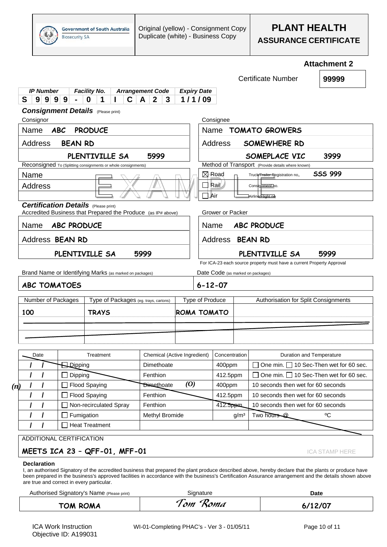

|                                                                                                             |                    |                                     |                                       |    |                                            |                                |  |                                                                                                                                |                                |                                                                                |                                                   | <b>Attachment 2</b> |  |
|-------------------------------------------------------------------------------------------------------------|--------------------|-------------------------------------|---------------------------------------|----|--------------------------------------------|--------------------------------|--|--------------------------------------------------------------------------------------------------------------------------------|--------------------------------|--------------------------------------------------------------------------------|---------------------------------------------------|---------------------|--|
|                                                                                                             |                    |                                     |                                       |    |                                            |                                |  |                                                                                                                                |                                |                                                                                | <b>Certificate Number</b>                         | 99999               |  |
| <b>IP Number</b>                                                                                            |                    | <b>Facility No.</b>                 |                                       |    |                                            | <b>Arrangement Code</b>        |  | <b>Expiry Date</b>                                                                                                             |                                |                                                                                |                                                   |                     |  |
| 9 9 9 9<br>S.                                                                                               |                    | 0<br>1                              |                                       | C. | $\mathsf{A}$                               | $\overline{2}$<br>3            |  | 1/1/09                                                                                                                         |                                |                                                                                |                                                   |                     |  |
| <b>Consignment Details</b> (Please print)                                                                   |                    |                                     |                                       |    |                                            |                                |  |                                                                                                                                |                                |                                                                                |                                                   |                     |  |
| Consignor                                                                                                   |                    |                                     |                                       |    |                                            |                                |  |                                                                                                                                | Consignee                      |                                                                                |                                                   |                     |  |
| <b>PRODUCE</b><br><b>ABC</b><br>Name                                                                        |                    |                                     |                                       |    |                                            |                                |  |                                                                                                                                |                                |                                                                                | Name TOMATO GROWERS                               |                     |  |
| Address<br><b>BEAN RD</b>                                                                                   |                    |                                     |                                       |    |                                            |                                |  |                                                                                                                                | Address<br><b>SOMEWHERE RD</b> |                                                                                |                                                   |                     |  |
| 5999<br>PLENTIVILLE SA<br>Reconsigned To (Splitting consignments or whole consignments)                     |                    |                                     |                                       |    |                                            |                                |  |                                                                                                                                |                                |                                                                                | SOMEPLACE VIC                                     | 3999                |  |
|                                                                                                             |                    |                                     |                                       |    |                                            |                                |  |                                                                                                                                |                                |                                                                                | Method of Transport (Provide details where known) |                     |  |
| Name<br>Address                                                                                             |                    |                                     |                                       |    |                                            |                                |  | <b>SSS 999</b><br>⊠ Road<br>Truck/Trailer Registration no.<br>Rail<br>Consignment ho.<br>Air<br>Airline/ <del>Flight n</del> o |                                |                                                                                |                                                   |                     |  |
| <b>Certification Details</b> (Please print)<br>Accredited Business that Prepared the Produce (as IP# above) |                    |                                     |                                       |    |                                            |                                |  |                                                                                                                                | Grower or Packer               |                                                                                |                                                   |                     |  |
| Name                                                                                                        | <b>ABC PRODUCE</b> |                                     |                                       |    |                                            |                                |  |                                                                                                                                | Name                           |                                                                                | <b>ABC PRODUCE</b>                                |                     |  |
| Address BEAN RD                                                                                             |                    |                                     |                                       |    |                                            |                                |  |                                                                                                                                |                                |                                                                                | Address BEAN RD                                   |                     |  |
|                                                                                                             | PLENTIVILLE SA     |                                     |                                       |    | 5999                                       |                                |  |                                                                                                                                | PLENTIVILLE SA<br>5999         |                                                                                |                                                   |                     |  |
|                                                                                                             |                    |                                     |                                       |    |                                            |                                |  | For ICA-23 each source property must have a current Property Approval<br>Date Code (as marked on packages)                     |                                |                                                                                |                                                   |                     |  |
| Brand Name or Identifying Marks (as marked on packages)                                                     |                    |                                     |                                       |    |                                            |                                |  |                                                                                                                                |                                |                                                                                |                                                   |                     |  |
| <b>ABC TOMATOES</b>                                                                                         |                    |                                     |                                       |    |                                            |                                |  | $6 - 12 - 07$                                                                                                                  |                                |                                                                                |                                                   |                     |  |
| Number of Packages                                                                                          |                    |                                     | Type of Packages (eg. trays, cartons) |    |                                            |                                |  | Type of Produce                                                                                                                |                                |                                                                                | Authorisation for Split Consignments              |                     |  |
| 100                                                                                                         |                    | <b>TRAYS</b>                        |                                       |    |                                            |                                |  |                                                                                                                                | <b>IROMA TOMATO</b>            |                                                                                |                                                   |                     |  |
|                                                                                                             |                    |                                     |                                       |    |                                            |                                |  |                                                                                                                                |                                |                                                                                |                                                   |                     |  |
|                                                                                                             |                    |                                     |                                       |    |                                            |                                |  |                                                                                                                                |                                |                                                                                |                                                   |                     |  |
|                                                                                                             |                    |                                     |                                       |    |                                            |                                |  |                                                                                                                                |                                |                                                                                |                                                   |                     |  |
| Date<br>Treatment                                                                                           |                    |                                     |                                       |    | Chemical (Active Ingredient)<br>Dimethoate |                                |  | Concentration<br>400ppm                                                                                                        |                                | <b>Duration and Temperature</b><br>One min. $\Box$ 10 Sec-Then wet for 60 sec. |                                                   |                     |  |
| Dipping<br>Dipping                                                                                          |                    | Fenthion                            |                                       |    |                                            |                                |  | One min. □ 10 Sec-Then wet for 60 sec.                                                                                         |                                |                                                                                |                                                   |                     |  |
|                                                                                                             |                    | <b>Flood Spaying</b>                |                                       |    |                                            | $\boldsymbol{0}$<br>Dimethoate |  |                                                                                                                                | 412.5ppm<br>400ppm             |                                                                                | 10 seconds then wet for 60 seconds                |                     |  |
|                                                                                                             |                    | <b>Flood Spaying</b>                |                                       |    |                                            | Fenthion                       |  |                                                                                                                                |                                |                                                                                | 10 seconds then wet for 60 seconds                |                     |  |
|                                                                                                             |                    |                                     | Non-recirculated Spray                |    |                                            | Fenthion                       |  |                                                                                                                                | 412.5ppm<br>412.5ppm           |                                                                                | 10 seconds then wet for 60 seconds                |                     |  |
| $\prime$                                                                                                    |                    |                                     |                                       |    |                                            | Methyl Bromide                 |  |                                                                                                                                | g/m <sup>3</sup>               |                                                                                | Two hours @                                       | $\rm ^{0}C$         |  |
|                                                                                                             |                    |                                     |                                       |    |                                            |                                |  |                                                                                                                                |                                |                                                                                |                                                   |                     |  |
|                                                                                                             |                    | Fumigation<br><b>Heat Treatment</b> |                                       |    |                                            |                                |  |                                                                                                                                |                                |                                                                                |                                                   |                     |  |